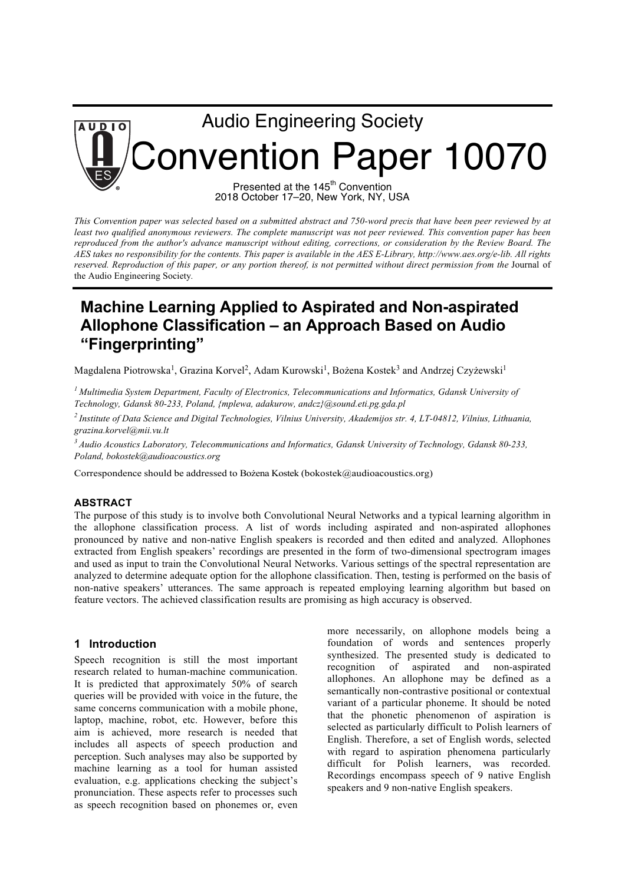# Audio Engineering Society **AUDIO**  Convention Paper 10070 Presented at the 145<sup>th</sup> Convention

2018 October 17–20, New York, NY, USA

*This Convention paper was selected based on a submitted abstract and 750-word precis that have been peer reviewed by at least two qualified anonymous reviewers. The complete manuscript was not peer reviewed. This convention paper has been*  reproduced from the author's advance manuscript without editing, corrections, or consideration by the Review Board. The *AES takes no responsibility for the contents. This paper is available in the AES E-Library, http://www.aes.org/e-lib. All rights reserved. Reproduction of this paper, or any portion thereof, is not permitted without direct permission from the Journal of* the Audio Engineering Society*.* 

# **Machine Learning Applied to Aspirated and Non-aspirated Allophone Classification – an Approach Based on Audio "Fingerprinting"**

Magdalena Piotrowska<sup>1</sup>, Grazina Korvel<sup>2</sup>, Adam Kurowski<sup>1</sup>, Bożena Kostek<sup>3</sup> and Andrzej Czyżewski<sup>1</sup>

*<sup>1</sup> Multimedia System Department, Faculty of Electronics, Telecommunications and Informatics, Gdansk University of Technology, Gdansk 80-233, Poland, {mplewa, adakurow, andcz}@sound.eti.pg.gda.pl*

*<sup>2</sup> Institute of Data Science and Digital Technologies, Vilnius University, Akademijos str. 4, LT-04812, Vilnius, Lithuania, grazina.korvel@mii.vu.lt*

*<sup>3</sup> Audio Acoustics Laboratory, Telecommunications and Informatics, Gdansk University of Technology, Gdansk 80-233, Poland, bokostek@audioacoustics.org*

Correspondence should be addressed to Bożena Kostek (bokostek@audioacoustics.org)

# **ABSTRACT**

The purpose of this study is to involve both Convolutional Neural Networks and a typical learning algorithm in the allophone classification process. A list of words including aspirated and non-aspirated allophones pronounced by native and non-native English speakers is recorded and then edited and analyzed. Allophones extracted from English speakers' recordings are presented in the form of two-dimensional spectrogram images and used as input to train the Convolutional Neural Networks. Various settings of the spectral representation are analyzed to determine adequate option for the allophone classification. Then, testing is performed on the basis of non-native speakers' utterances. The same approach is repeated employing learning algorithm but based on feature vectors. The achieved classification results are promising as high accuracy is observed.

# **1 Introduction**

Speech recognition is still the most important research related to human-machine communication. It is predicted that approximately 50% of search queries will be provided with voice in the future, the same concerns communication with a mobile phone, laptop, machine, robot, etc. However, before this aim is achieved, more research is needed that includes all aspects of speech production and perception. Such analyses may also be supported by machine learning as a tool for human assisted evaluation, e.g. applications checking the subject's pronunciation. These aspects refer to processes such as speech recognition based on phonemes or, even more necessarily, on allophone models being a foundation of words and sentences properly synthesized. The presented study is dedicated to recognition of aspirated and non-aspirated allophones. An allophone may be defined as a semantically non-contrastive positional or contextual variant of a particular phoneme. It should be noted that the phonetic phenomenon of aspiration is selected as particularly difficult to Polish learners of English. Therefore, a set of English words, selected with regard to aspiration phenomena particularly difficult for Polish learners, was recorded. Recordings encompass speech of 9 native English speakers and 9 non-native English speakers.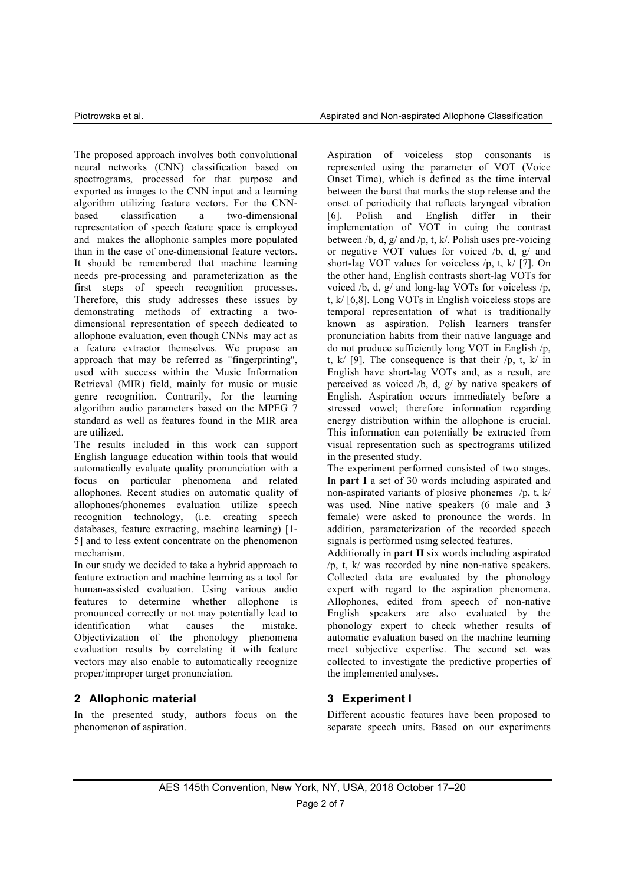The proposed approach involves both convolutional neural networks (CNN) classification based on spectrograms, processed for that purpose and exported as images to the CNN input and a learning algorithm utilizing feature vectors. For the CNNbased classification a two-dimensional representation of speech feature space is employed and makes the allophonic samples more populated than in the case of one-dimensional feature vectors. It should be remembered that machine learning needs pre-processing and parameterization as the first steps of speech recognition processes. Therefore, this study addresses these issues by demonstrating methods of extracting a twodimensional representation of speech dedicated to allophone evaluation, even though CNNs may act as a feature extractor themselves. We propose an approach that may be referred as "fingerprinting", used with success within the Music Information Retrieval (MIR) field, mainly for music or music genre recognition. Contrarily, for the learning algorithm audio parameters based on the MPEG 7 standard as well as features found in the MIR area are utilized.

The results included in this work can support English language education within tools that would automatically evaluate quality pronunciation with a focus on particular phenomena and related allophones. Recent studies on automatic quality of allophones/phonemes evaluation utilize speech recognition technology, (i.e. creating speech databases, feature extracting, machine learning) [1- 5] and to less extent concentrate on the phenomenon mechanism.

In our study we decided to take a hybrid approach to feature extraction and machine learning as a tool for human-assisted evaluation. Using various audio features to determine whether allophone is pronounced correctly or not may potentially lead to identification what causes the mistake. Objectivization of the phonology phenomena evaluation results by correlating it with feature vectors may also enable to automatically recognize proper/improper target pronunciation.

# **2 Allophonic material**

In the presented study, authors focus on the phenomenon of aspiration.

Aspiration of voiceless stop consonants is represented using the parameter of VOT (Voice Onset Time), which is defined as the time interval between the burst that marks the stop release and the onset of periodicity that reflects laryngeal vibration [6]. Polish and English differ in their implementation of VOT in cuing the contrast between  $/b$ , d, g/ and  $/p$ , t, k/. Polish uses pre-voicing or negative VOT values for voiced /b, d, g/ and short-lag VOT values for voiceless /p, t, k/ [7]. On the other hand, English contrasts short-lag VOTs for voiced /b, d, g/ and long-lag VOTs for voiceless /p, t, k/ [6,8]. Long VOTs in English voiceless stops are temporal representation of what is traditionally known as aspiration. Polish learners transfer pronunciation habits from their native language and do not produce sufficiently long VOT in English /p, t,  $k/$  [9]. The consequence is that their  $/p, t, k/$  in English have short-lag VOTs and, as a result, are perceived as voiced  $\overline{b}$ , d, g/ by native speakers of English. Aspiration occurs immediately before a stressed vowel; therefore information regarding energy distribution within the allophone is crucial. This information can potentially be extracted from visual representation such as spectrograms utilized in the presented study.

The experiment performed consisted of two stages. In **part I** a set of 30 words including aspirated and non-aspirated variants of plosive phonemes /p, t, k/ was used. Nine native speakers (6 male and 3 female) were asked to pronounce the words. In addition, parameterization of the recorded speech signals is performed using selected features.

Additionally in **part II** six words including aspirated /p, t, k/ was recorded by nine non-native speakers. Collected data are evaluated by the phonology expert with regard to the aspiration phenomena. Allophones, edited from speech of non-native English speakers are also evaluated by the phonology expert to check whether results of automatic evaluation based on the machine learning meet subjective expertise. The second set was collected to investigate the predictive properties of the implemented analyses.

# **3 Experiment I**

Different acoustic features have been proposed to separate speech units. Based on our experiments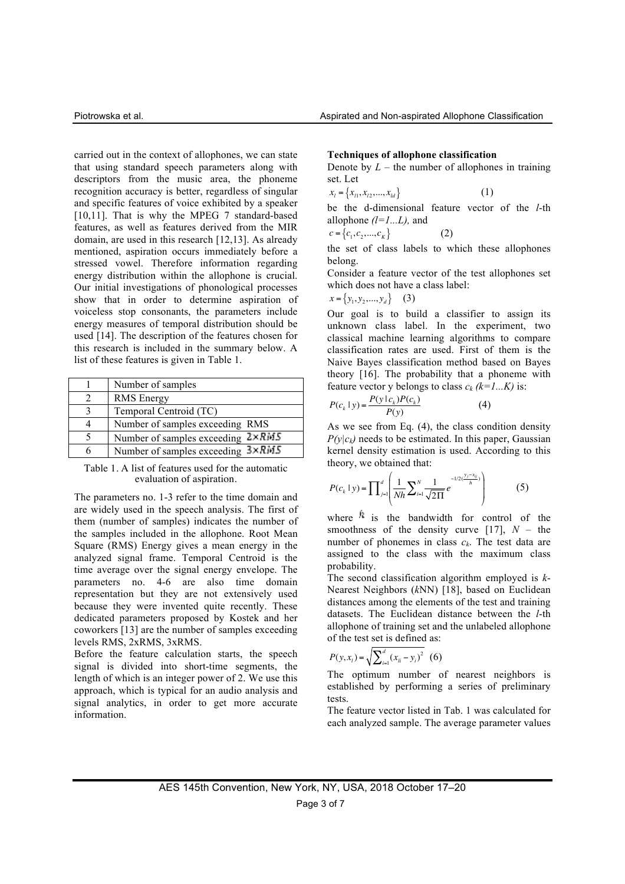carried out in the context of allophones, we can state that using standard speech parameters along with descriptors from the music area, the phoneme recognition accuracy is better, regardless of singular and specific features of voice exhibited by a speaker [10,11]. That is why the MPEG 7 standard-based features, as well as features derived from the MIR domain, are used in this research [12,13]. As already mentioned, aspiration occurs immediately before a stressed vowel. Therefore information regarding energy distribution within the allophone is crucial. Our initial investigations of phonological processes show that in order to determine aspiration of voiceless stop consonants, the parameters include energy measures of temporal distribution should be used [14]. The description of the features chosen for this research is included in the summary below. A list of these features is given in Table 1.

| Number of samples                         |
|-------------------------------------------|
| <b>RMS</b> Energy                         |
| Temporal Centroid (TC)                    |
| Number of samples exceeding RMS           |
| Number of samples exceeding $2\times RMS$ |
| Number of samples exceeding 3×RMS         |

Table 1. A list of features used for the automatic evaluation of aspiration.

The parameters no. 1-3 refer to the time domain and are widely used in the speech analysis. The first of them (number of samples) indicates the number of the samples included in the allophone. Root Mean Square (RMS) Energy gives a mean energy in the analyzed signal frame. Temporal Centroid is the time average over the signal energy envelope. The parameters no. 4-6 are also time domain representation but they are not extensively used because they were invented quite recently. These dedicated parameters proposed by Kostek and her coworkers [13] are the number of samples exceeding levels RMS, 2xRMS, 3xRMS.

Before the feature calculation starts, the speech signal is divided into short-time segments, the length of which is an integer power of 2. We use this approach, which is typical for an audio analysis and signal analytics, in order to get more accurate information.

#### **Techniques of allophone classification**

Denote by  $L$  – the number of allophones in training set. Let

$$
x_{l} = \{x_{l1}, x_{l2}, \dots, x_{ld}\}
$$
 (1)

be the d-dimensional feature vector of the *l*-th allophone *(l=1...L),* and

$$
c = \{c_1, c_2, ..., c_K\}
$$
 (2)

the set of class labels to which these allophones belong.

Consider a feature vector of the test allophones set which does not have a class label:

$$
x = \{y_1, y_2, \dots, y_d\} \quad (3)
$$

Our goal is to build a classifier to assign its unknown class label. In the experiment, two classical machine learning algorithms to compare classification rates are used. First of them is the Naive Bayes classification method based on Bayes theory [16]. The probability that a phoneme with feature vector y belongs to class  $c_k$   $(k=1...K)$  is:

$$
P(c_k \mid y) = \frac{P(y \mid c_k)P(c_k)}{P(y)}\tag{4}
$$

As we see from Eq. (4), the class condition density  $P(v|c_k)$  needs to be estimated. In this paper, Gaussian kernel density estimation is used. According to this theory, we obtained that:

$$
P(c_k \mid y) = \prod_{j=1}^d \left( \frac{1}{Nh} \sum_{i=1}^N \frac{1}{\sqrt{2\Pi}} e^{-\frac{1}{2}(\frac{y_j - x_{ij}}{h})} \right) \tag{5}
$$

where  $\lambda$  is the bandwidth for control of the smoothness of the density curve [17],  $N -$  the number of phonemes in class  $c_k$ . The test data are assigned to the class with the maximum class probability.

The second classification algorithm employed is *k*-Nearest Neighbors (*k*NN) [18], based on Euclidean distances among the elements of the test and training datasets. The Euclidean distance between the *l*-th allophone of training set and the unlabeled allophone of the test set is defined as:

$$
P(y, x_i) = \sqrt{\sum_{i=1}^{d} (x_{ii} - y_i)^2}
$$
 (6)

The optimum number of nearest neighbors is established by performing a series of preliminary tests.

The feature vector listed in Tab. 1 was calculated for each analyzed sample. The average parameter values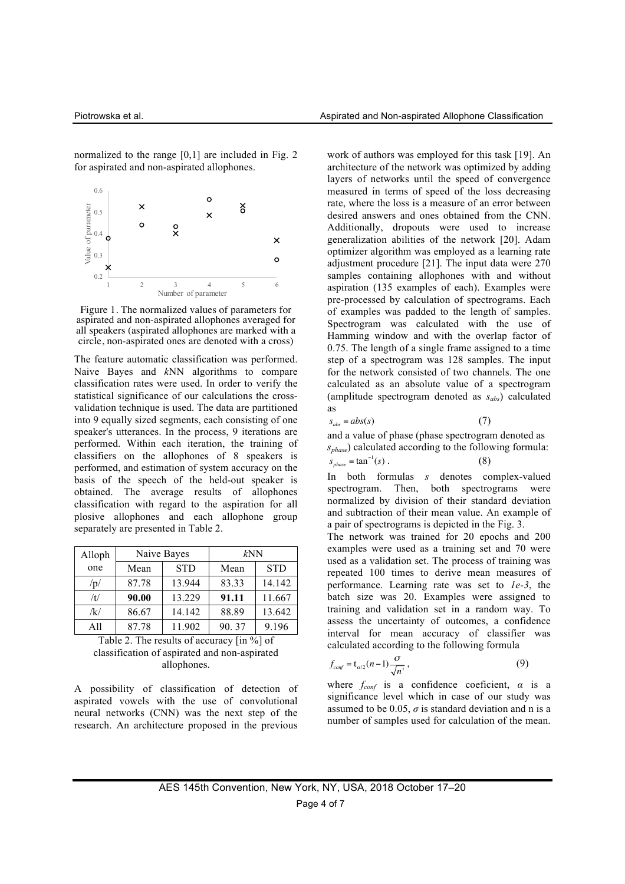normalized to the range [0,1] are included in Fig. 2 for aspirated and non-aspirated allophones.



Figure 1. The normalized values of parameters for aspirated and non-aspirated allophones averaged for all speakers (aspirated allophones are marked with a circle, non-aspirated ones are denoted with a cross)

The feature automatic classification was performed. Naive Bayes and *k*NN algorithms to compare classification rates were used. In order to verify the statistical significance of our calculations the crossvalidation technique is used. The data are partitioned into 9 equally sized segments, each consisting of one speaker's utterances. In the process, 9 iterations are performed. Within each iteration, the training of classifiers on the allophones of 8 speakers is performed, and estimation of system accuracy on the basis of the speech of the held-out speaker is obtained. The average results of allophones classification with regard to the aspiration for all plosive allophones and each allophone group separately are presented in Table 2.

| Alloph | Naive Bayes |            | kNN   |            |
|--------|-------------|------------|-------|------------|
| one    | Mean        | <b>STD</b> | Mean  | <b>STD</b> |
| /p/    | 87.78       | 13.944     | 83.33 | 14.142     |
| /t/    | 90.00       | 13.229     | 91.11 | 11.667     |
| /k/    | 86.67       | 14.142     | 88.89 | 13.642     |
| All    | 87.78       | 11.902     | 90.37 | 9.196      |

Table 2. The results of accuracy [in %] of classification of aspirated and non-aspirated allophones.

A possibility of classification of detection of aspirated vowels with the use of convolutional neural networks (CNN) was the next step of the research. An architecture proposed in the previous

work of authors was employed for this task [19]. An architecture of the network was optimized by adding layers of networks until the speed of convergence measured in terms of speed of the loss decreasing rate, where the loss is a measure of an error between desired answers and ones obtained from the CNN. Additionally, dropouts were used to increase generalization abilities of the network [20]. Adam optimizer algorithm was employed as a learning rate adjustment procedure [21]. The input data were 270 samples containing allophones with and without aspiration (135 examples of each). Examples were pre-processed by calculation of spectrograms. Each of examples was padded to the length of samples. Spectrogram was calculated with the use of Hamming window and with the overlap factor of 0.75. The length of a single frame assigned to a time step of a spectrogram was 128 samples. The input for the network consisted of two channels. The one calculated as an absolute value of a spectrogram (amplitude spectrogram denoted as *sabs*) calculated as

$$
s_{\text{abs}} = abs(s) \tag{7}
$$

and a value of phase (phase spectrogram denoted as *sphase*) calculated according to the following formula:  $s_{phase} = \tan^{-1}(s)$ . (8)

In both formulas *s* denotes complex-valued spectrogram. Then, both spectrograms were normalized by division of their standard deviation and subtraction of their mean value. An example of a pair of spectrograms is depicted in the Fig. 3.

The network was trained for 20 epochs and 200 examples were used as a training set and 70 were used as a validation set. The process of training was repeated 100 times to derive mean measures of performance. Learning rate was set to *1e-3*, the batch size was 20. Examples were assigned to training and validation set in a random way. To assess the uncertainty of outcomes, a confidence interval for mean accuracy of classifier was calculated according to the following formula

$$
f_{\text{conf}} = t_{\text{a/2}}(n-1) \frac{\sigma}{\sqrt{n'}},\tag{9}
$$

where  $f_{conf}$  is a confidence coeficient,  $\alpha$  is a significance level which in case of our study was assumed to be 0.05,  $\sigma$  is standard deviation and n is a number of samples used for calculation of the mean.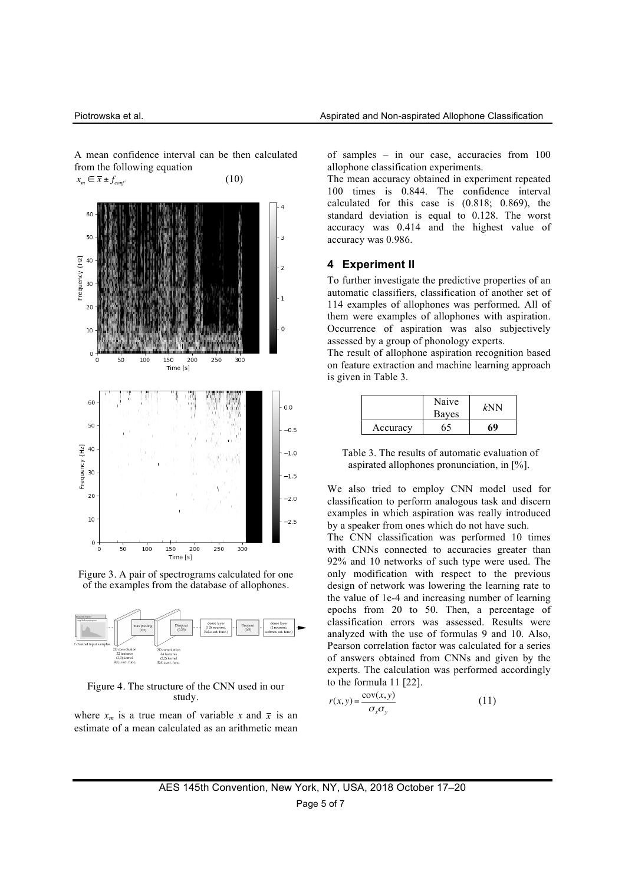A mean confidence interval can be then calculated from the following equation







#### Figure 4. The structure of the CNN used in our study.

where  $x_m$  is a true mean of variable x and  $\bar{x}$  is an estimate of a mean calculated as an arithmetic mean of samples – in our case, accuracies from 100 allophone classification experiments.

The mean accuracy obtained in experiment repeated 100 times is 0.844. The confidence interval calculated for this case is (0.818; 0.869), the standard deviation is equal to 0.128. The worst accuracy was 0.414 and the highest value of accuracy was 0.986.

# **4 Experiment II**

To further investigate the predictive properties of an automatic classifiers, classification of another set of 114 examples of allophones was performed. All of them were examples of allophones with aspiration. Occurrence of aspiration was also subjectively assessed by a group of phonology experts.

The result of allophone aspiration recognition based on feature extraction and machine learning approach is given in Table 3.

|          | Naive<br>Bayes | ∤NN |
|----------|----------------|-----|
| Accuracy | 55             | 69  |

Table 3. The results of automatic evaluation of aspirated allophones pronunciation, in [%].

We also tried to employ CNN model used for classification to perform analogous task and discern examples in which aspiration was really introduced by a speaker from ones which do not have such.

The CNN classification was performed 10 times with CNNs connected to accuracies greater than 92% and 10 networks of such type were used. The only modification with respect to the previous design of network was lowering the learning rate to the value of 1e-4 and increasing number of learning epochs from 20 to 50. Then, a percentage of classification errors was assessed. Results were analyzed with the use of formulas 9 and 10. Also, Pearson correlation factor was calculated for a series of answers obtained from CNNs and given by the experts. The calculation was performed accordingly to the formula 11 [22].

$$
r(x, y) = \frac{\text{cov}(x, y)}{\sigma_x \sigma_y} \tag{11}
$$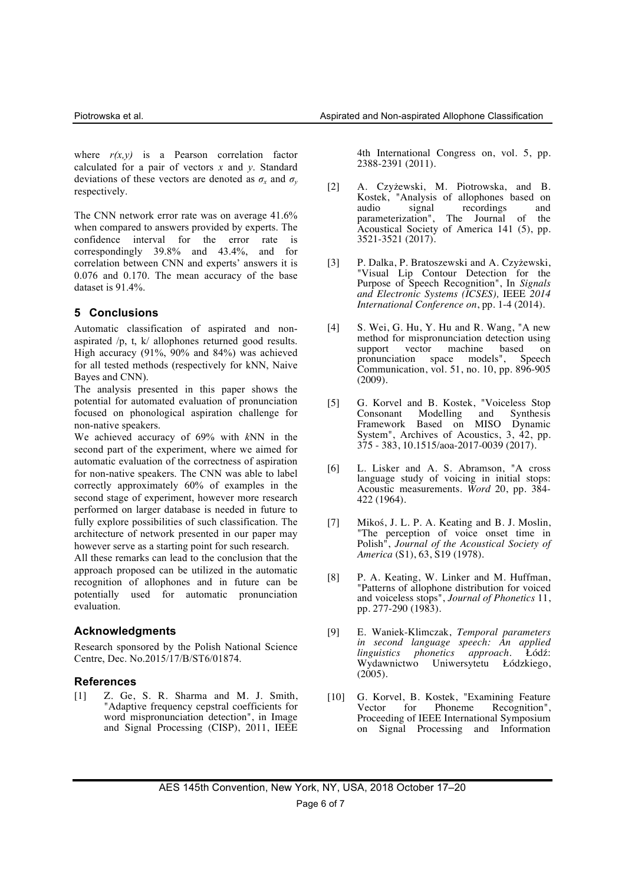where  $r(x,y)$  is a Pearson correlation factor calculated for a pair of vectors *x* and *y*. Standard deviations of these vectors are denoted as  $\sigma_r$  and  $\sigma_v$ respectively.

The CNN network error rate was on average 41.6% when compared to answers provided by experts. The confidence interval for the error rate is correspondingly 39.8% and 43.4%, and for correlation between CNN and experts' answers it is 0.076 and 0.170. The mean accuracy of the base dataset is 91.4%.

# **5 Conclusions**

Automatic classification of aspirated and nonaspirated /p, t, k/ allophones returned good results. High accuracy (91%, 90% and 84%) was achieved for all tested methods (respectively for kNN, Naive Bayes and CNN).

The analysis presented in this paper shows the potential for automated evaluation of pronunciation focused on phonological aspiration challenge for non-native speakers.

We achieved accuracy of 69% with *k*NN in the second part of the experiment, where we aimed for automatic evaluation of the correctness of aspiration for non-native speakers. The CNN was able to label correctly approximately 60% of examples in the second stage of experiment, however more research performed on larger database is needed in future to fully explore possibilities of such classification. The architecture of network presented in our paper may however serve as a starting point for such research.

All these remarks can lead to the conclusion that the approach proposed can be utilized in the automatic recognition of allophones and in future can be potentially used for automatic pronunciation evaluation.

# **Acknowledgments**

Research sponsored by the Polish National Science Centre, Dec. No.2015/17/B/ST6/01874.

# **References**

[1] Z. Ge, S. R. Sharma and M. J. Smith, "Adaptive frequency cepstral coefficients for word mispronunciation detection", in Image and Signal Processing (CISP), 2011, IEEE

4th International Congress on, vol. 5, pp. 2388-2391 (2011).

- [2] A. Czyżewski, M. Piotrowska, and B. Kostek, "Analysis of allophones based on audio signal recordings and<br>parameterization". The Journal of the parameterization", The Journal of Acoustical Society of America 141 (5), pp. 3521-3521 (2017).
- [3] P. Dalka, P. Bratoszewski and A. Czyżewski, "Visual Lip Contour Detection for the Purpose of Speech Recognition", In *Signals and Electronic Systems (ICSES),* IEEE *2014 International Conference on*, pp. 1-4 (2014).
- [4] S. Wei, G. Hu, Y. Hu and R. Wang, "A new method for mispronunciation detection using<br>support vector machine based on support vector machine based on<br>pronunciation space models", Speech models", Speech Communication, vol. 51, no. 10, pp. 896-905 (2009).
- [5] G. Korvel and B. Kostek, "Voiceless Stop Modelling and Framework Based on MISO Dynamic System", Archives of Acoustics, 3, 42, pp. 375 - 383, 10.1515/aoa-2017-0039 (2017).
- [6] L. Lisker and A. S. Abramson, "A cross language study of voicing in initial stops: Acoustic measurements. *Word* 20, pp. 384- 422 (1964).
- [7] Mikoś, J. L. P. A. Keating and B. J. Moslin, "The perception of voice onset time in Polish", *Journal of the Acoustical Society of America* (S1), 63, S19 (1978).
- [8] P. A. Keating, W. Linker and M. Huffman, "Patterns of allophone distribution for voiced and voiceless stops", *Journal of Phonetics* 11, pp. 277-290 (1983).
- [9] E. Waniek-Klimczak, *Temporal parameters in second language speech: An applied linguistics phonetics approach*. Łódź: Wydawnictwo Uniwersytetu Łódzkiego,  $(2005)$ .
- [10] G. Korvel, B. Kostek, "Examining Feature Phoneme Recognition", Proceeding of IEEE International Symposium on Signal Processing and Information